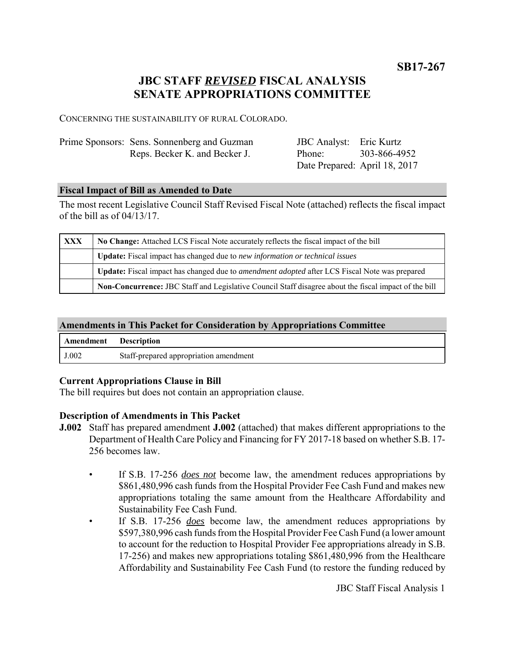**SB17-267**

# **JBC STAFF** *REVISED* **FISCAL ANALYSIS SENATE APPROPRIATIONS COMMITTEE**

CONCERNING THE SUSTAINABILITY OF RURAL COLORADO.

| Prime Sponsors: Sens. Sonnenberg and Guzman | <b>JBC</b> Analyst: Eric Kurtz |                               |
|---------------------------------------------|--------------------------------|-------------------------------|
| Reps. Becker K. and Becker J.               | Phone:                         | 303-866-4952                  |
|                                             |                                | Date Prepared: April 18, 2017 |

#### **Fiscal Impact of Bill as Amended to Date**

The most recent Legislative Council Staff Revised Fiscal Note (attached) reflects the fiscal impact of the bill as of 04/13/17.

| <b>XXX</b> | No Change: Attached LCS Fiscal Note accurately reflects the fiscal impact of the bill                       |  |
|------------|-------------------------------------------------------------------------------------------------------------|--|
|            | Update: Fiscal impact has changed due to new information or technical issues                                |  |
|            | <b>Update:</b> Fiscal impact has changed due to <i>amendment adopted</i> after LCS Fiscal Note was prepared |  |
|            | Non-Concurrence: JBC Staff and Legislative Council Staff disagree about the fiscal impact of the bill       |  |

#### **Amendments in This Packet for Consideration by Appropriations Committee**

| <b>Amendment</b> Description |                                        |
|------------------------------|----------------------------------------|
| J.002                        | Staff-prepared appropriation amendment |

#### **Current Appropriations Clause in Bill**

The bill requires but does not contain an appropriation clause.

#### **Description of Amendments in This Packet**

- **J.002** Staff has prepared amendment **J.002** (attached) that makes different appropriations to the Department of Health Care Policy and Financing for FY 2017-18 based on whether S.B. 17- 256 becomes law.
	- If S.B. 17-256 *does not* become law, the amendment reduces appropriations by \$861,480,996 cash funds from the Hospital Provider Fee Cash Fund and makes new appropriations totaling the same amount from the Healthcare Affordability and Sustainability Fee Cash Fund.
	- If S.B. 17-256 *does* become law, the amendment reduces appropriations by \$597,380,996 cash funds from the Hospital Provider Fee Cash Fund (a lower amount to account for the reduction to Hospital Provider Fee appropriations already in S.B. 17-256) and makes new appropriations totaling \$861,480,996 from the Healthcare Affordability and Sustainability Fee Cash Fund (to restore the funding reduced by

JBC Staff Fiscal Analysis 1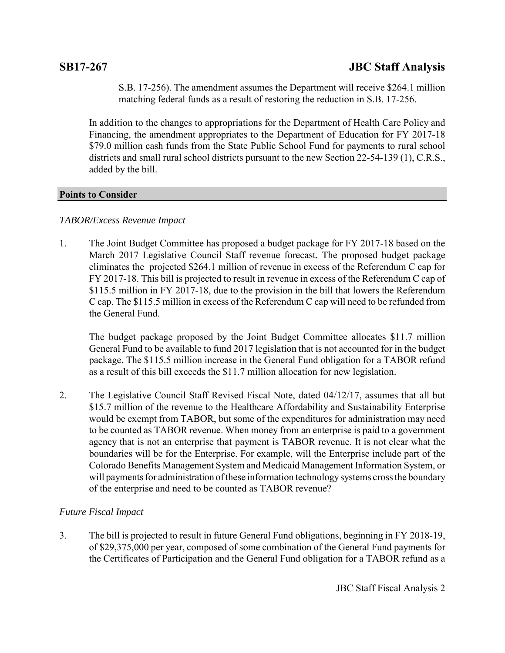S.B. 17-256). The amendment assumes the Department will receive \$264.1 million matching federal funds as a result of restoring the reduction in S.B. 17-256.

In addition to the changes to appropriations for the Department of Health Care Policy and Financing, the amendment appropriates to the Department of Education for FY 2017-18 \$79.0 million cash funds from the State Public School Fund for payments to rural school districts and small rural school districts pursuant to the new Section 22-54-139 (1), C.R.S., added by the bill.

## **Points to Consider**

## *TABOR/Excess Revenue Impact*

1. The Joint Budget Committee has proposed a budget package for FY 2017-18 based on the March 2017 Legislative Council Staff revenue forecast. The proposed budget package eliminates the projected \$264.1 million of revenue in excess of the Referendum C cap for FY 2017-18. This bill is projected to result in revenue in excess of the Referendum C cap of \$115.5 million in FY 2017-18, due to the provision in the bill that lowers the Referendum C cap. The \$115.5 million in excess of the Referendum C cap will need to be refunded from the General Fund.

The budget package proposed by the Joint Budget Committee allocates \$11.7 million General Fund to be available to fund 2017 legislation that is not accounted for in the budget package. The \$115.5 million increase in the General Fund obligation for a TABOR refund as a result of this bill exceeds the \$11.7 million allocation for new legislation.

2. The Legislative Council Staff Revised Fiscal Note, dated 04/12/17, assumes that all but \$15.7 million of the revenue to the Healthcare Affordability and Sustainability Enterprise would be exempt from TABOR, but some of the expenditures for administration may need to be counted as TABOR revenue. When money from an enterprise is paid to a government agency that is not an enterprise that payment is TABOR revenue. It is not clear what the boundaries will be for the Enterprise. For example, will the Enterprise include part of the Colorado Benefits Management System and Medicaid Management Information System, or will payments for administration of these information technology systems cross the boundary of the enterprise and need to be counted as TABOR revenue?

## *Future Fiscal Impact*

3. The bill is projected to result in future General Fund obligations, beginning in FY 2018-19, of \$29,375,000 per year, composed of some combination of the General Fund payments for the Certificates of Participation and the General Fund obligation for a TABOR refund as a